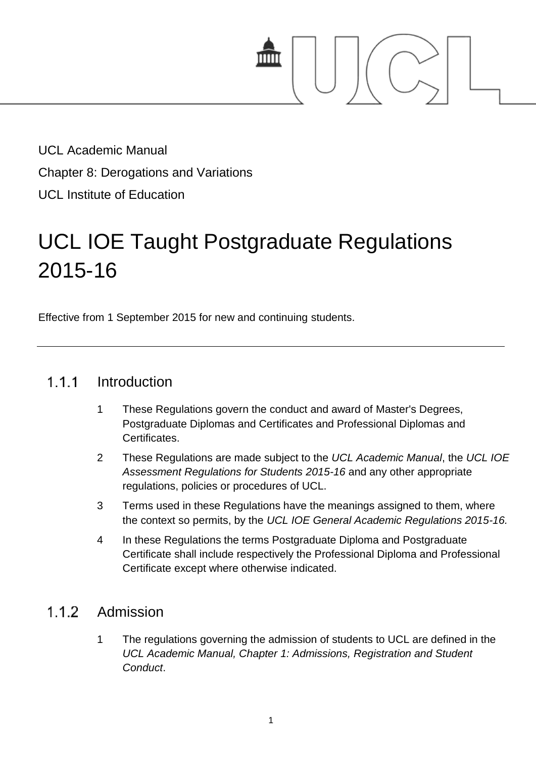

UCL Academic Manual Chapter 8: Derogations and Variations UCL Institute of Education

# UCL IOE Taught Postgraduate Regulations 2015-16

Effective from 1 September 2015 for new and continuing students.

#### $1.1.1$ Introduction

- 1 These Regulations govern the conduct and award of Master's Degrees, Postgraduate Diplomas and Certificates and Professional Diplomas and Certificates.
- 2 These Regulations are made subject to the *UCL Academic Manual*, the *UCL IOE Assessment Regulations for Students 2015-16* and any other appropriate regulations, policies or procedures of UCL.
- 3 Terms used in these Regulations have the meanings assigned to them, where the context so permits, by the *UCL IOE General Academic Regulations 2015-16.*
- 4 In these Regulations the terms Postgraduate Diploma and Postgraduate Certificate shall include respectively the Professional Diploma and Professional Certificate except where otherwise indicated.

# $1.1.2$ Admission

1 The regulations governing the admission of students to UCL are defined in the *UCL Academic Manual, Chapter 1: Admissions, Registration and Student Conduct*.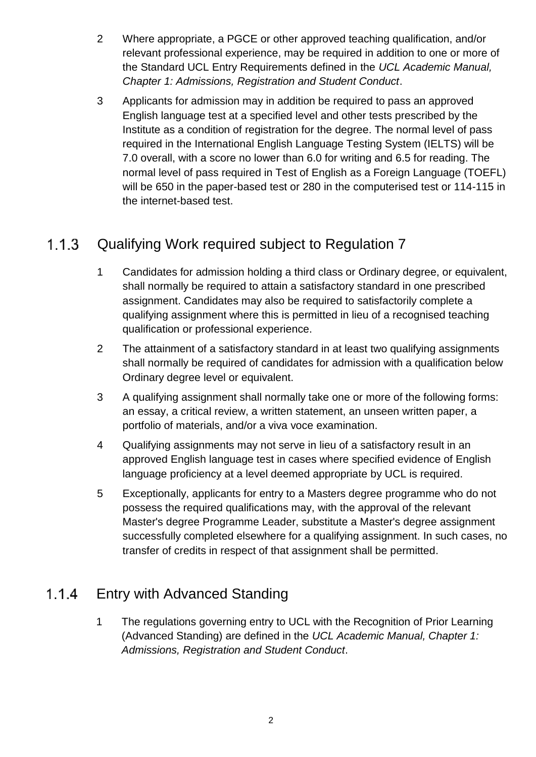- 2 Where appropriate, a PGCE or other approved teaching qualification, and/or relevant professional experience, may be required in addition to one or more of the Standard UCL Entry Requirements defined in the *UCL Academic Manual, Chapter 1: Admissions, Registration and Student Conduct*.
- 3 Applicants for admission may in addition be required to pass an approved English language test at a specified level and other tests prescribed by the Institute as a condition of registration for the degree. The normal level of pass required in the International English Language Testing System (IELTS) will be 7.0 overall, with a score no lower than 6.0 for writing and 6.5 for reading. The normal level of pass required in Test of English as a Foreign Language (TOEFL) will be 650 in the paper-based test or 280 in the computerised test or 114-115 in the internet-based test.

# $1.1.3$ Qualifying Work required subject to Regulation 7

- 1 Candidates for admission holding a third class or Ordinary degree, or equivalent, shall normally be required to attain a satisfactory standard in one prescribed assignment. Candidates may also be required to satisfactorily complete a qualifying assignment where this is permitted in lieu of a recognised teaching qualification or professional experience.
- 2 The attainment of a satisfactory standard in at least two qualifying assignments shall normally be required of candidates for admission with a qualification below Ordinary degree level or equivalent.
- 3 A qualifying assignment shall normally take one or more of the following forms: an essay, a critical review, a written statement, an unseen written paper, a portfolio of materials, and/or a viva voce examination.
- 4 Qualifying assignments may not serve in lieu of a satisfactory result in an approved English language test in cases where specified evidence of English language proficiency at a level deemed appropriate by UCL is required.
- 5 Exceptionally, applicants for entry to a Masters degree programme who do not possess the required qualifications may, with the approval of the relevant Master's degree Programme Leader, substitute a Master's degree assignment successfully completed elsewhere for a qualifying assignment. In such cases, no transfer of credits in respect of that assignment shall be permitted.

# Entry with Advanced Standing  $1.1.4$

1 The regulations governing entry to UCL with the Recognition of Prior Learning (Advanced Standing) are defined in the *UCL Academic Manual, Chapter 1: Admissions, Registration and Student Conduct*.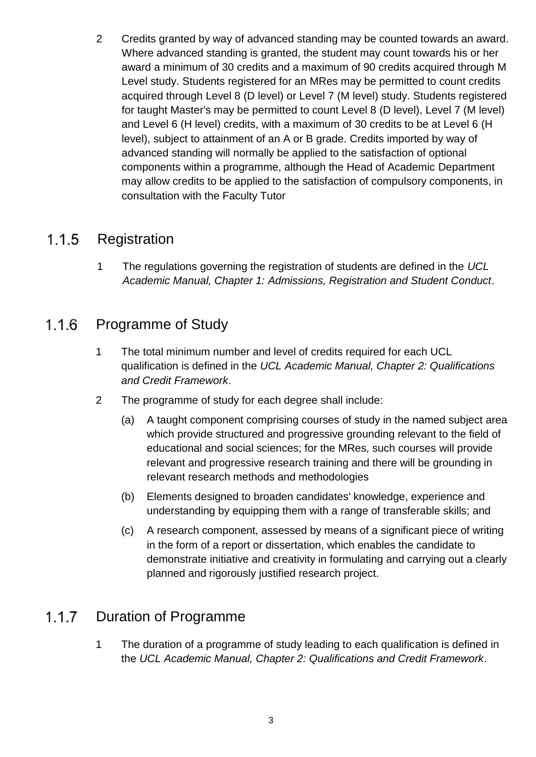2 Credits granted by way of advanced standing may be counted towards an award. Where advanced standing is granted, the student may count towards his or her award a minimum of 30 credits and a maximum of 90 credits acquired through M Level study. Students registered for an MRes may be permitted to count credits acquired through Level 8 (D level) or Level 7 (M level) study. Students registered for taught Master's may be permitted to count Level 8 (D level), Level 7 (M level) and Level 6 (H level) credits, with a maximum of 30 credits to be at Level 6 (H level), subject to attainment of an A or B grade. Credits imported by way of advanced standing will normally be applied to the satisfaction of optional components within a programme, although the Head of Academic Department may allow credits to be applied to the satisfaction of compulsory components, in consultation with the Faculty Tutor

#### **Registration**  $1.1.5$

1 The regulations governing the registration of students are defined in the *UCL Academic Manual, Chapter 1: Admissions, Registration and Student Conduct*.

#### $1.1.6$ Programme of Study

- 1 The total minimum number and level of credits required for each UCL qualification is defined in the *UCL Academic Manual, Chapter 2: Qualifications and Credit Framework*.
- 2 The programme of study for each degree shall include:
	- (a) A taught component comprising courses of study in the named subject area which provide structured and progressive grounding relevant to the field of educational and social sciences; for the MRes, such courses will provide relevant and progressive research training and there will be grounding in relevant research methods and methodologies
	- (b) Elements designed to broaden candidates' knowledge, experience and understanding by equipping them with a range of transferable skills; and
	- (c) A research component, assessed by means of a significant piece of writing in the form of a report or dissertation, which enables the candidate to demonstrate initiative and creativity in formulating and carrying out a clearly planned and rigorously justified research project.

#### $1.1.7$ Duration of Programme

1 The duration of a programme of study leading to each qualification is defined in the *UCL Academic Manual, Chapter 2: Qualifications and Credit Framework*.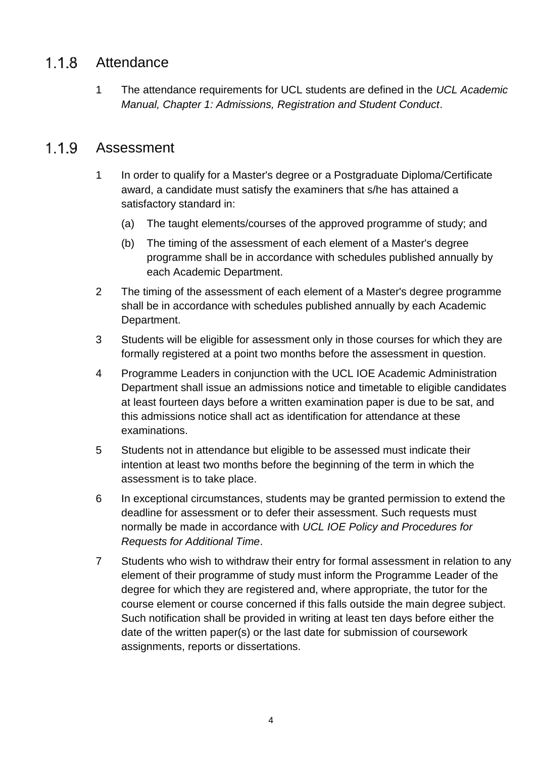#### Attendance  $1.1.8$

1 The attendance requirements for UCL students are defined in the *UCL Academic Manual, Chapter 1: Admissions, Registration and Student Conduct*.

#### $1.1.9$ Assessment

- 1 In order to qualify for a Master's degree or a Postgraduate Diploma/Certificate award, a candidate must satisfy the examiners that s/he has attained a satisfactory standard in:
	- (a) The taught elements/courses of the approved programme of study; and
	- (b) The timing of the assessment of each element of a Master's degree programme shall be in accordance with schedules published annually by each Academic Department.
- 2 The timing of the assessment of each element of a Master's degree programme shall be in accordance with schedules published annually by each Academic Department.
- 3 Students will be eligible for assessment only in those courses for which they are formally registered at a point two months before the assessment in question.
- 4 Programme Leaders in conjunction with the UCL IOE Academic Administration Department shall issue an admissions notice and timetable to eligible candidates at least fourteen days before a written examination paper is due to be sat, and this admissions notice shall act as identification for attendance at these examinations.
- 5 Students not in attendance but eligible to be assessed must indicate their intention at least two months before the beginning of the term in which the assessment is to take place.
- 6 In exceptional circumstances, students may be granted permission to extend the deadline for assessment or to defer their assessment. Such requests must normally be made in accordance with *UCL IOE Policy and Procedures for Requests for Additional Time*.
- 7 Students who wish to withdraw their entry for formal assessment in relation to any element of their programme of study must inform the Programme Leader of the degree for which they are registered and, where appropriate, the tutor for the course element or course concerned if this falls outside the main degree subject. Such notification shall be provided in writing at least ten days before either the date of the written paper(s) or the last date for submission of coursework assignments, reports or dissertations.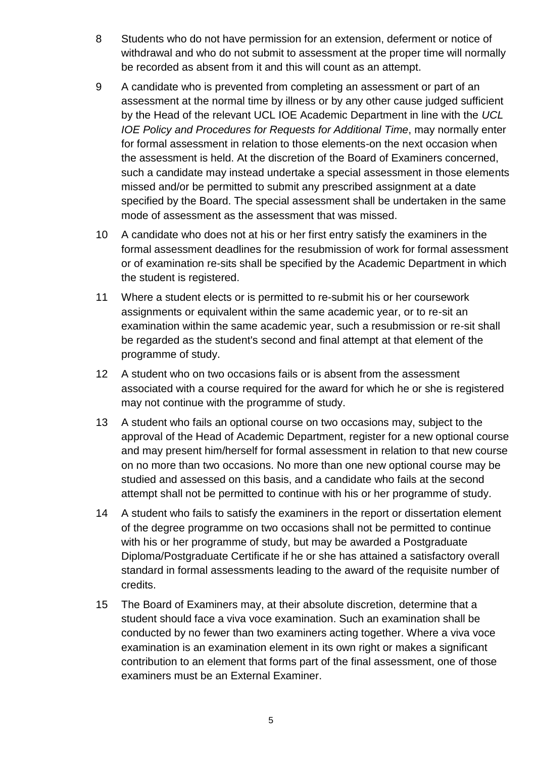- 8 Students who do not have permission for an extension, deferment or notice of withdrawal and who do not submit to assessment at the proper time will normally be recorded as absent from it and this will count as an attempt.
- 9 A candidate who is prevented from completing an assessment or part of an assessment at the normal time by illness or by any other cause judged sufficient by the Head of the relevant UCL IOE Academic Department in line with the *UCL IOE Policy and Procedures for Requests for Additional Time*, may normally enter for formal assessment in relation to those elements-on the next occasion when the assessment is held. At the discretion of the Board of Examiners concerned, such a candidate may instead undertake a special assessment in those elements missed and/or be permitted to submit any prescribed assignment at a date specified by the Board. The special assessment shall be undertaken in the same mode of assessment as the assessment that was missed.
- 10 A candidate who does not at his or her first entry satisfy the examiners in the formal assessment deadlines for the resubmission of work for formal assessment or of examination re-sits shall be specified by the Academic Department in which the student is registered.
- 11 Where a student elects or is permitted to re-submit his or her coursework assignments or equivalent within the same academic year, or to re-sit an examination within the same academic year, such a resubmission or re-sit shall be regarded as the student's second and final attempt at that element of the programme of study.
- 12 A student who on two occasions fails or is absent from the assessment associated with a course required for the award for which he or she is registered may not continue with the programme of study.
- 13 A student who fails an optional course on two occasions may, subject to the approval of the Head of Academic Department, register for a new optional course and may present him/herself for formal assessment in relation to that new course on no more than two occasions. No more than one new optional course may be studied and assessed on this basis, and a candidate who fails at the second attempt shall not be permitted to continue with his or her programme of study.
- 14 A student who fails to satisfy the examiners in the report or dissertation element of the degree programme on two occasions shall not be permitted to continue with his or her programme of study, but may be awarded a Postgraduate Diploma/Postgraduate Certificate if he or she has attained a satisfactory overall standard in formal assessments leading to the award of the requisite number of credits.
- 15 The Board of Examiners may, at their absolute discretion, determine that a student should face a viva voce examination. Such an examination shall be conducted by no fewer than two examiners acting together. Where a viva voce examination is an examination element in its own right or makes a significant contribution to an element that forms part of the final assessment, one of those examiners must be an External Examiner.